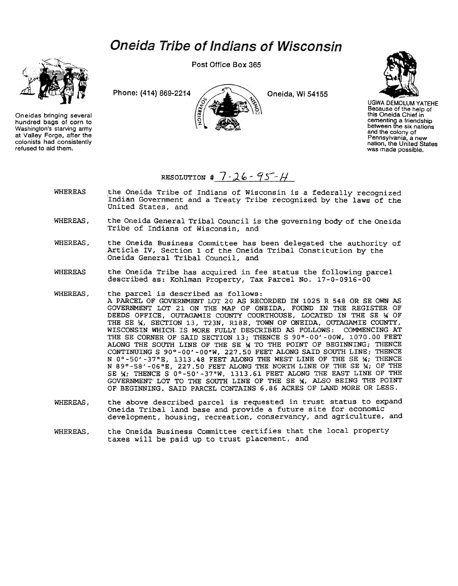## **Oneida Tribe of Indians of Wisconsin**



On eidas bringing several hundred bags of corn to Washington's starving army at Valley Forge, after the colonists had consistently refused to aid them.

Post Office Box 365

Phone: (414) 869-2214  $\bigcup_{k}$  Oneida, Wi 54155



UGWA DEMOLUM YATEHE Because of the help of this Oneida Chief in cementing a friendship between the six nations and the colony of Pennsylvania. a new nation, the United States was made possible.

## RESOLUTION # 7 - 26 - 95 -  $H$

- WHEREAS the Oneida Tribe of Indians of Wisconsin is a federally recognized .Indian Government and a Treaty Tribe recognized by the laws of the United States, and
- WHEREAS, the Oneida General Tribal Council is the governing body of the Oneida Tribe of Indians of Wisconsin, and
- WHEREAS, the Oneida Business Committee has been delegated the authority of Article IV, Section 1 of the Oneida Tribal Constitution by the Oneida General Tribal Council, and
- WHEREAS the Oneida Tribe has acquired in fee status the following parcel described as: Kohlman Property, Tax Parcel No. 17-0-0916-00
- WHEREAS, the parcel is described as follows: A PARCEL OF GOVERNMENT LOT 20 AS RECORDED IN 1025 R 548 OR SE OWN AS GOVERNMENT LOT 21 ON THE MAP OF ONEIDA, FOUND IN THE REGISTER OF DEEDS OFFICE, OUTAGAMIE COUNTY COURTHOUSE, LOCATED IN THE SE X OF THE SE X, SECTION 13, T23N, R18E, TOWN OF ONEIDA, OUTAGAMIE COUNTY, WISCONSIN WHICH. IS MORE FULLY DESCRIBED AS FOLLOWS: COMMENCING AT THE SE CORNER OF SAID SECTION 13; THENCE S 90°-00'-00W, 1070.00 FEET ALONG THE SOUTH LINE OF THE SE  $\frac{1}{2}$  TO THE POINT OF BEGINNING; THENCE CONTINUING S 90°-00'-00"W, 227.50 FEET ALONG SAID SOUTH LINE; THENCE N 0°-50'-37"E, 1313.48 FEET ALONG THE WEST LINE OF THE SE X; THENCE N 89°-58'-06"E, 227.50 FEET ALONG THE NORTH LINE OF THE SE  $\mathcal{H}_i$  OF THE SE  $\frac{1}{2}$ ; THENCE S 0°-50'-37"W, 1313.61 FEET ALONG THE EAST LINE OF THE GOVERNMENT LOT TO THE SOUTH LINE OF THE SE 1A, ALSO BEING THE POINT OF BEGINNING. SAID PARCEL CONTAINS 6.86 ACRES OF LAND MORE OR LESS.
- WHEREAS, the above described parcel is requested in trust status to expand Oneida Tribal land base and provide a future site for economic development, housing, recreation, conservancy, and agriculture, and
- the Oneida Business Committee certifies that the local property taxes will be paid up to trust placement, and WHEREAS ,